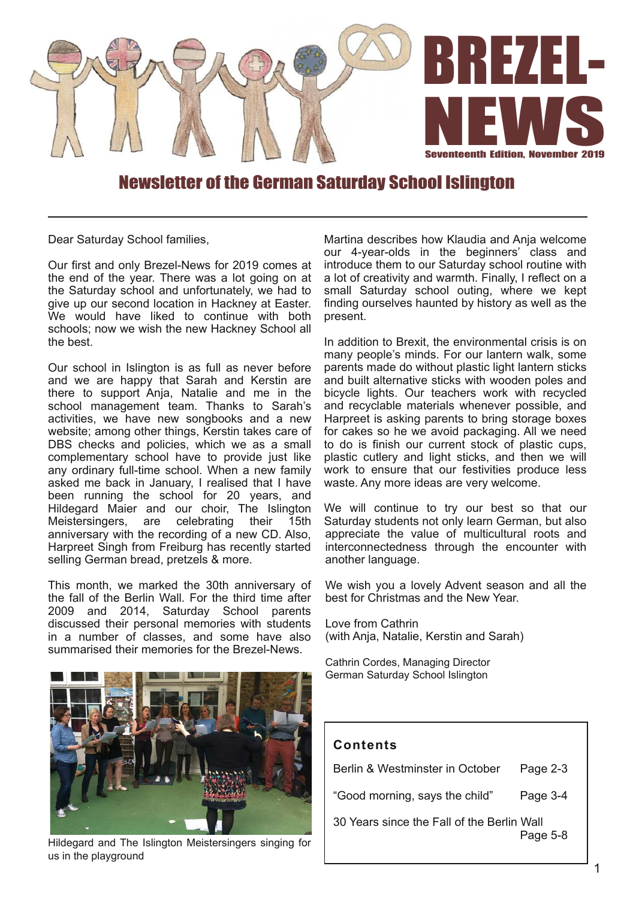

## Newsletter of the German Saturday School Islington

Dear Saturday School families,

Our first and only Brezel-News for 2019 comes at the end of the year. There was a lot going on at the Saturday school and unfortunately, we had to give up our second location in Hackney at Easter. We would have liked to continue with both schools; now we wish the new Hackney School all the best.

Our school in Islington is as full as never before and we are happy that Sarah and Kerstin are there to support Anja, Natalie and me in the school management team. Thanks to Sarah's activities, we have new songbooks and a new website; among other things, Kerstin takes care of DBS checks and policies, which we as a small complementary school have to provide just like any ordinary full-time school. When a new family asked me back in January, I realised that I have been running the school for 20 years, and Hildegard Maier and our choir, The Islington<br>Meistersingers, are celebrating their 15th Meistersingers, are celebrating their 15th anniversary with the recording of a new CD. Also, Harpreet Singh from Freiburg has recently started selling German bread, pretzels & more.

This month, we marked the 30th anniversary of the fall of the Berlin Wall. For the third time after 2009 and 2014, Saturday School parents discussed their personal memories with students in a number of classes, and some have also summarised their memories for the Brezel-News.



Hildegard and The Islington Meistersingers singing for us in the playground

Martina describes how Klaudia and Anja welcome our 4-year-olds in the beginners' class and introduce them to our Saturday school routine with a lot of creativity and warmth. Finally, I reflect on a small Saturday school outing, where we kept finding ourselves haunted by history as well as the present.

In addition to Brexit, the environmental crisis is on many people's minds. For our lantern walk, some parents made do without plastic light lantern sticks and built alternative sticks with wooden poles and bicycle lights. Our teachers work with recycled and recyclable materials whenever possible, and Harpreet is asking parents to bring storage boxes for cakes so he we avoid packaging. All we need to do is finish our current stock of plastic cups, plastic cutlery and light sticks, and then we will work to ensure that our festivities produce less waste. Any more ideas are very welcome.

We will continue to try our best so that our Saturday students not only learn German, but also appreciate the value of multicultural roots and interconnectedness through the encounter with another language.

We wish you a lovely Advent season and all the best for Christmas and the New Year.

Love from Cathrin (with Anja, Natalie, Kerstin and Sarah)

Cathrin Cordes, Managing Director German Saturday School Islington

## **Con ten ts**

Berlin & Westminster in October Page 2-3

"Good morning, says the child" Page 3-4

30 Years since the Fall of the Berlin Wall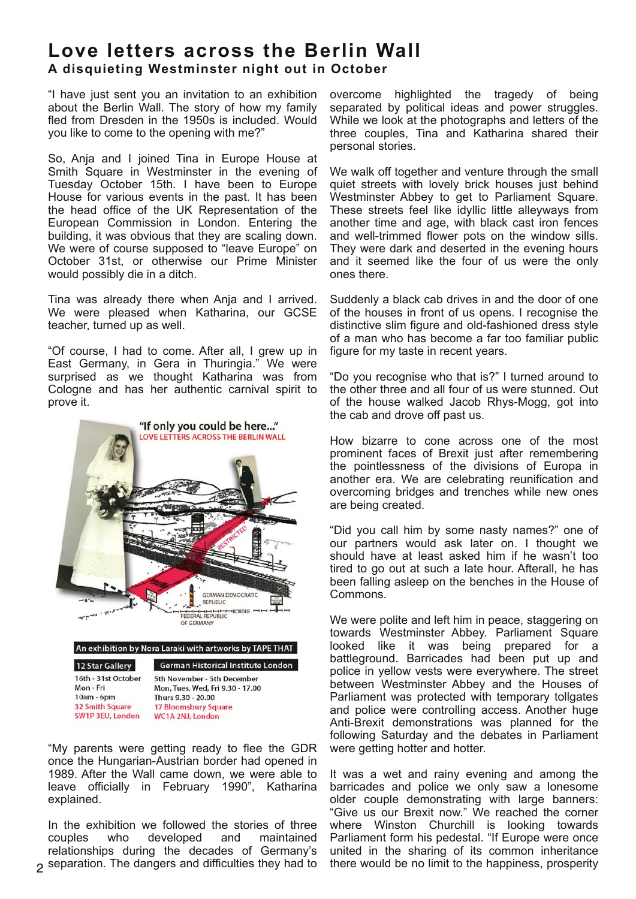# **Love le t ters across the Berlin Wall** A disquieting Westminster night out in October

"I have just sent you an invitation to an exhibition about the Berlin Wall. The story of how my family fled from Dresden in the 1950s is included. Would you like to come to the opening with me?"

So, Anja and I joined Tina in Europe House at Smith Square in Westminster in the evening of Tuesday October 15th. I have been to Europe House for various events in the past. It has been the head office of the UK Representation of the European Commission in London. Entering the building, it was obvious that they are scaling down. We were of course supposed to "leave Europe" on October 31st, or otherwise our Prime Minister would possibly die in a ditch.

Tina was already there when Anja and I arrived. We were pleased when Katharina, our GCSE teacher, turned up as well.

"Of course, I had to come. After all, I grew up in East Germany, in Gera in Thuringia." We were surprised as we thought Katharina was from Cologne and has her authentic carnival spirit to prove it.



**32 Smith Square SW1P 3EU, London** 

**17 Bloomsbury Square WC1A 2NJ, London** 

"My parents were getting ready to flee the GDR once the Hungarian-Austrian border had opened in 1989. After the Wall came down, we were able to leave officially in February 1990", Katharina explained.

In the exhibition we followed the stories of three couples who developed and maintained relationships during the decades of Germany's separation. The dangers and difficulties they had to overcome highlighted the tragedy of being separated by political ideas and power struggles. While we look at the photographs and letters of the three couples, Tina and Katharina shared their personal stories.

We walk off together and venture through the small quiet streets with lovely brick houses just behind Westminster Abbey to get to Parliament Square. These streets feel like idyllic little alleyways from another time and age, with black cast iron fences and well-trimmed flower pots on the window sills. They were dark and deserted in the evening hours and it seemed like the four of us were the only ones there.

Suddenly a black cab drives in and the door of one of the houses in front of us opens. I recognise the distinctive slim figure and old-fashioned dress style of a man who has become a far too familiar public figure for my taste in recent years.

"Do you recognise who that is?" I turned around to the other three and all four of us were stunned. Out of the house walked Jacob Rhys-Mogg, got into the cab and drove off past us.

How bizarre to cone across one of the most prominent faces of Brexit just after remembering the pointlessness of the divisions of Europa in another era. We are celebrating reunification and overcoming bridges and trenches while new ones are being created.

"Did you call him by some nasty names?" one of our partners would ask later on. I thought we should have at least asked him if he wasn't too tired to go out at such a late hour. Afterall, he has been falling asleep on the benches in the House of Commons.

We were polite and left him in peace, staggering on towards Westminster Abbey. Parliament Square looked like it was being prepared for a battleground. Barricades had been put up and police in yellow vests were everywhere. The street between Westminster Abbey and the Houses of Parliament was protected with temporary tollgates and police were controlling access. Another huge Anti-Brexit demonstrations was planned for the following Saturday and the debates in Parliament were getting hotter and hotter.

It was a wet and rainy evening and among the barricades and police we only saw a lonesome older couple demonstrating with large banners: "Give us our Brexit now." We reached the corner where Winston Churchill is looking towards Parliament form his pedestal. "If Europe were once united in the sharing of its common inheritance there would be no limit to the happiness, prosperity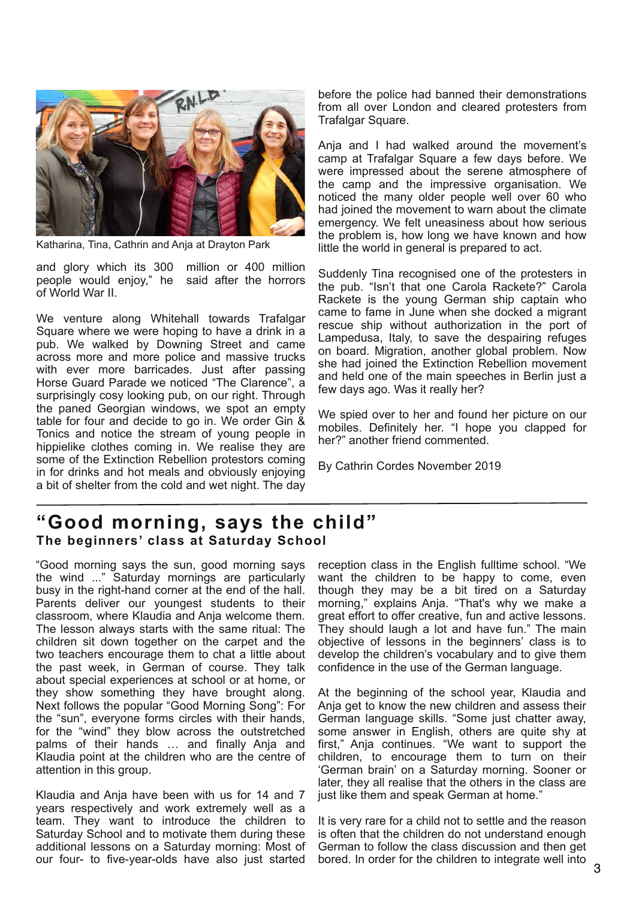

Katharina, Tina, Cathrin and Anja at Drayton Park

and glory which its 300 million or 400 million people would enjoy," he said after the horrors of World War II.

We venture along Whitehall towards Trafalgar Square where we were hoping to have a drink in a pub. We walked by Downing Street and came across more and more police and massive trucks with ever more barricades. Just after passing Horse Guard Parade we noticed "The Clarence", a surprisingly cosy looking pub, on our right. Through the paned Georgian windows, we spot an empty table for four and decide to go in. We order Gin & Tonics and notice the stream of young people in hippielike clothes coming in. We realise they are some of the Extinction Rebellion protestors coming in for drinks and hot meals and obviously enjoying a bit of shelter from the cold and wet night. The day before the police had banned their demonstrations from all over London and cleared protesters from Trafalgar Square.

Anja and I had walked around the movement's camp at Trafalgar Square a few days before. We were impressed about the serene atmosphere of the camp and the impressive organisation. We noticed the many older people well over 60 who had joined the movement to warn about the climate emergency. We felt uneasiness about how serious the problem is, how long we have known and how little the world in general is prepared to act.

Suddenly Tina recognised one of the protesters in the pub. "Isn't that one Carola Rackete?" Carola Rackete is the young German ship captain who came to fame in June when she docked a migrant rescue ship without authorization in the port of Lampedusa, Italy, to save the despairing refuges on board. Migration, another global problem. Now she had joined the Extinction Rebellion movement and held one of the main speeches in Berlin just a few days ago. Was it really her?

We spied over to her and found her picture on our mobiles. Definitely her. "I hope you clapped for her?" another friend commented.

By Cathrin Cordes November 2019

## **"Good morning, says the child"** The beginners' class at Saturday School

"Good morning says the sun, good morning says the wind ..." Saturday mornings are particularly busy in the right-hand corner at the end of the hall. Parents deliver our youngest students to their classroom, where Klaudia and Anja welcome them. The lesson always starts with the same ritual: The children sit down together on the carpet and the two teachers encourage them to chat a little about the past week, in German of course. They talk about special experiences at school or at home, or they show something they have brought along. Next follows the popular "Good Morning Song": For the "sun", everyone forms circles with their hands, for the "wind" they blow across the outstretched palms of their hands … and finally Anja and Klaudia point at the children who are the centre of attention in this group.

Klaudia and Anja have been with us for 14 and 7 years respectively and work extremely well as a team. They want to introduce the children to Saturday School and to motivate them during these additional lessons on a Saturday morning: Most of our four- to five-year-olds have also just started

reception class in the English fulltime school. "We want the children to be happy to come, even though they may be a bit tired on a Saturday morning," explains Anja. "That's why we make a great effort to offer creative, fun and active lessons. They should laugh a lot and have fun." The main objective of lessons in the beginners' class is to develop the children's vocabulary and to give them confidence in the use of the German language.

At the beginning of the school year, Klaudia and Anja get to know the new children and assess their German language skills. "Some just chatter away, some answer in English, others are quite shy at first," Anja continues. "We want to support the children, to encourage them to turn on their 'German brain' on a Saturday morning. Sooner or later, they all realise that the others in the class are just like them and speak German at home."

It is very rare for a child not to settle and the reason is often that the children do not understand enough German to follow the class discussion and then get bored. In order for the children to integrate well into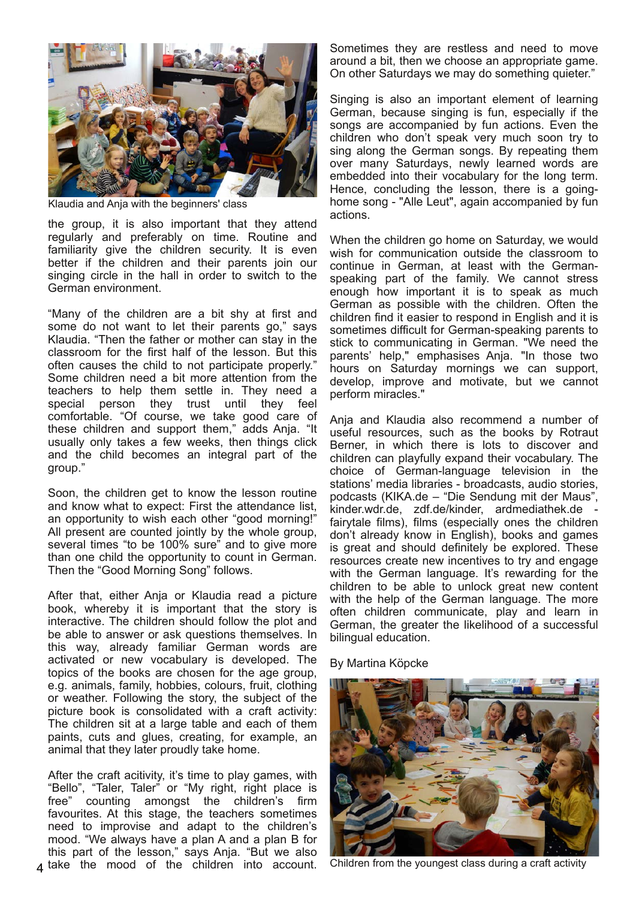

Klaudia and Anja with the beginners' class

the group, it is also important that they attend regularly and preferably on time. Routine and familiarity give the children security. It is even better if the children and their parents join our singing circle in the hall in order to switch to the German environment.

"Many of the children are a bit shy at first and some do not want to let their parents go," says Klaudia. "Then the father or mother can stay in the classroom for the first half of the lesson. But this often causes the child to not participate properly." Some children need a bit more attention from the teachers to help them settle in. They need a special person they trust until they feel comfortable. "Of course, we take good care of these children and support them," adds Anja. "It usually only takes a few weeks, then things click and the child becomes an integral part of the group."

Soon, the children get to know the lesson routine and know what to expect: First the attendance list, an opportunity to wish each other "good morning!" All present are counted jointly by the whole group, several times "to be 100% sure" and to give more than one child the opportunity to count in German. Then the "Good Morning Song" follows.

After that, either Anja or Klaudia read a picture book, whereby it is important that the story is interactive. The children should follow the plot and be able to answer or ask questions themselves. In this way, already familiar German words are activated or new vocabulary is developed. The topics of the books are chosen for the age group, e.g. animals, family, hobbies, colours, fruit, clothing or weather. Following the story, the subject of the picture book is consolidated with a craft activity: The children sit at a large table and each of them paints, cuts and glues, creating, for example, an animal that they later proudly take home.

After the craft acitivity, it's time to play games, with "Bello", "Taler, Taler" or "My right, right place is<br>free" counting amongst the children's firm counting amongst the children's firm favourites. At this stage, the teachers sometimes need to improvise and adapt to the children's mood. "We always have a plan A and a plan B for this part of the lesson," says Anja. "But we also  $\Delta$  take the mood of the children into account. Sometimes they are restless and need to move around a bit, then we choose an appropriate game. On other Saturdays we may do something quieter."

Singing is also an important element of learning German, because singing is fun, especially if the songs are accompanied by fun actions. Even the children who don't speak very much soon try to sing along the German songs. By repeating them over many Saturdays, newly learned words are embedded into their vocabulary for the long term. Hence, concluding the lesson, there is a goinghome song - "Alle Leut", again accompanied by fun actions.

When the children go home on Saturday, we would wish for communication outside the classroom to continue in German, at least with the Germanspeaking part of the family. We cannot stress enough how important it is to speak as much German as possible with the children. Often the children find it easier to respond in English and it is sometimes difficult for German-speaking parents to stick to communicating in German. "We need the parents' help," emphasises Anja. "In those two hours on Saturday mornings we can support, develop, improve and motivate, but we cannot perform miracles."

Anja and Klaudia also recommend a number of useful resources, such as the books by Rotraut Berner, in which there is lots to discover and children can playfully expand their vocabulary. The choice of German-language television in the stations' media libraries - broadcasts, audio stories, podcasts (KIKA.de – "Die Sendung mit der Maus", kinder.wdr.de, zdf.de/kinder, ardmediathek.de fairytale films), films (especially ones the children don't already know in English), books and games is great and should definitely be explored. These resources create new incentives to try and engage with the German language. It's rewarding for the children to be able to unlock great new content with the help of the German language. The more often children communicate, play and learn in German, the greater the likelihood of a successful bilingual education.

By Martina Köpcke



Children from the youngest class during a craft activity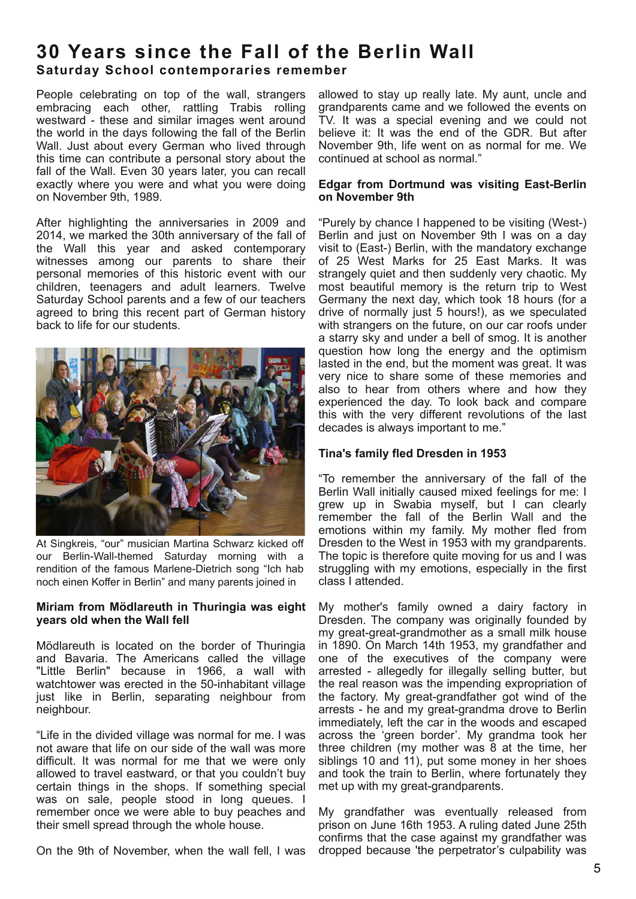## **30 Years since the Fall of the Berlin Wall Sa turday School con temporaries remember**

People celebrating on top of the wall, strangers embracing each other, rattling Trabis rolling westward - these and similar images went around the world in the days following the fall of the Berlin Wall. Just about every German who lived through this time can contribute a personal story about the fall of the Wall. Even 30 years later, you can recall exactly where you were and what you were doing on November 9th, 1989.

After highlighting the anniversaries in 2009 and 2014, we marked the 30th anniversary of the fall of the Wall this year and asked contemporary witnesses among our parents to share their personal memories of this historic event with our children, teenagers and adult learners. Twelve Saturday School parents and a few of our teachers agreed to bring this recent part of German history back to life for our students.



At Singkreis, "our" musician Martina Schwarz kicked off our Berlin-Wall-themed Saturday morning with a rendition of the famous Marlene-Dietrich song "Ich hab noch einen Koffer in Berlin" and many parents joined in

### **Miriam from Mödlareuth in Thuringia was eight years old when the Wall fell**

Mödlareuth is located on the border of Thuringia and Bavaria. The Americans called the village "Little Berlin" because in 1966, a wall with watchtower was erected in the 50-inhabitant village just like in Berlin, separating neighbour from neighbour.

"Life in the divided village was normal for me. I was not aware that life on our side of the wall was more difficult. It was normal for me that we were only allowed to travel eastward, or that you couldn't buy certain things in the shops. If something special was on sale, people stood in long queues. I remember once we were able to buy peaches and their smell spread through the whole house.

On the 9th of November, when the wall fell, I was

allowed to stay up really late. My aunt, uncle and grandparents came and we followed the events on TV. It was a special evening and we could not believe it: It was the end of the GDR. But after November 9th, life went on as normal for me. We continued at school as normal."

### **Edgar from Dortmund was visiting East-Berlin on November 9th**

"Purely by chance I happened to be visiting (West-) Berlin and just on November 9th I was on a day visit to (East-) Berlin, with the mandatory exchange of 25 West Marks for 25 East Marks. It was strangely quiet and then suddenly very chaotic. My most beautiful memory is the return trip to West Germany the next day, which took 18 hours (for a drive of normally just 5 hours!), as we speculated with strangers on the future, on our car roofs under a starry sky and under a bell of smog. It is another question how long the energy and the optimism lasted in the end, but the moment was great. It was very nice to share some of these memories and also to hear from others where and how they experienced the day. To look back and compare this with the very different revolutions of the last decades is always important to me."

## **Tina's family fled Dresden in 1953**

"To remember the anniversary of the fall of the Berlin Wall initially caused mixed feelings for me: I grew up in Swabia myself, but I can clearly remember the fall of the Berlin Wall and the emotions within my family. My mother fled from Dresden to the West in 1953 with my grandparents. The topic is therefore quite moving for us and I was struggling with my emotions, especially in the first class I attended.

My mother's family owned a dairy factory in Dresden. The company was originally founded by my great-great-grandmother as a small milk house in 1890. On March 14th 1953, my grandfather and one of the executives of the company were arrested - allegedly for illegally selling butter, but the real reason was the impending expropriation of the factory. My great-grandfather got wind of the arrests - he and my great-grandma drove to Berlin immediately, left the car in the woods and escaped across the 'green border'. My grandma took her three children (my mother was 8 at the time, her siblings 10 and 11), put some money in her shoes and took the train to Berlin, where fortunately they met up with my great-grandparents.

My grandfather was eventually released from prison on June 16th 1953. A ruling dated June 25th confirms that the case against my grandfather was dropped because 'the perpetrator's culpability was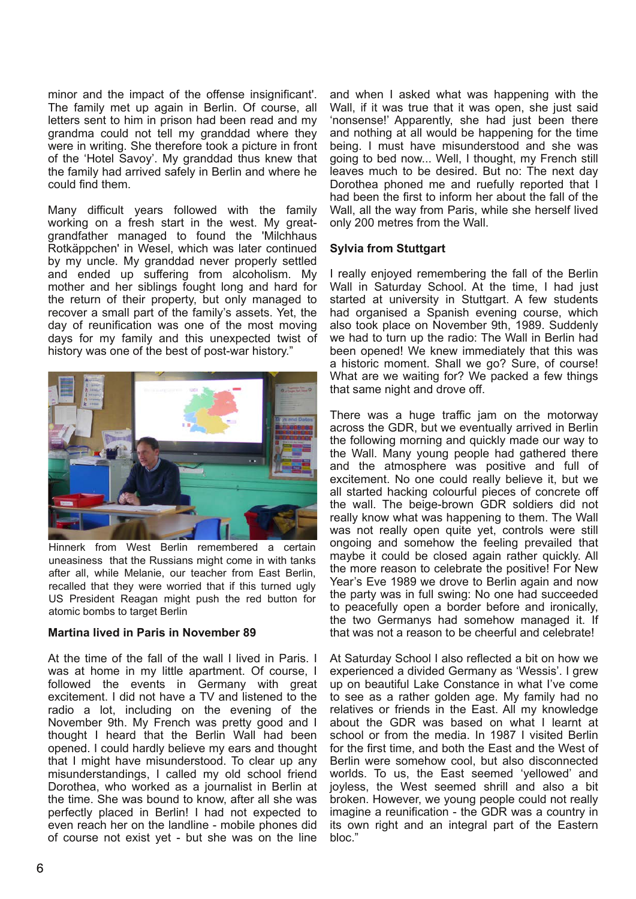minor and the impact of the offense insignificant'. The family met up again in Berlin. Of course, all letters sent to him in prison had been read and my grandma could not tell my granddad where they were in writing. She therefore took a picture in front of the 'Hotel Savoy'. My granddad thus knew that the family had arrived safely in Berlin and where he could find them.

Many difficult years followed with the family working on a fresh start in the west. My greatgrandfather managed to found the 'Milchhaus Rotkäppchen' in Wesel, which was later continued by my uncle. My granddad never properly settled and ended up suffering from alcoholism. My mother and her siblings fought long and hard for the return of their property, but only managed to recover a small part of the family's assets. Yet, the day of reunification was one of the most moving days for my family and this unexpected twist of history was one of the best of post-war history."



Hinnerk from West Berlin remembered a certain uneasiness that the Russians might come in with tanks after all, while Melanie, our teacher from East Berlin, recalled that they were worried that if this turned ugly US President Reagan might push the red button for atomic bombs to target Berlin

### **Martina lived in Paris in November 89**

At the time of the fall of the wall I lived in Paris. I was at home in my little apartment. Of course, I followed the events in Germany with great excitement. I did not have a TV and listened to the radio a lot, including on the evening of the November 9th. My French was pretty good and I thought I heard that the Berlin Wall had been opened. I could hardly believe my ears and thought that I might have misunderstood. To clear up any misunderstandings, I called my old school friend Dorothea, who worked as a journalist in Berlin at the time. She was bound to know, after all she was perfectly placed in Berlin! I had not expected to even reach her on the landline - mobile phones did of course not exist yet - but she was on the line

and when I asked what was happening with the Wall, if it was true that it was open, she just said 'nonsense!' Apparently, she had just been there and nothing at all would be happening for the time being. I must have misunderstood and she was going to bed now... Well, I thought, my French still leaves much to be desired. But no: The next day Dorothea phoned me and ruefully reported that I had been the first to inform her about the fall of the Wall, all the way from Paris, while she herself lived only 200 metres from the Wall.

### **Sylvia from Stuttgart**

I really enjoyed remembering the fall of the Berlin Wall in Saturday School. At the time, I had just started at university in Stuttgart. A few students had organised a Spanish evening course, which also took place on November 9th, 1989. Suddenly we had to turn up the radio: The Wall in Berlin had been opened! We knew immediately that this was a historic moment. Shall we go? Sure, of course! What are we waiting for? We packed a few things that same night and drove off.

There was a huge traffic jam on the motorway across the GDR, but we eventually arrived in Berlin the following morning and quickly made our way to the Wall. Many young people had gathered there and the atmosphere was positive and full of excitement. No one could really believe it, but we all started hacking colourful pieces of concrete off the wall. The beige-brown GDR soldiers did not really know what was happening to them. The Wall was not really open quite yet, controls were still ongoing and somehow the feeling prevailed that maybe it could be closed again rather quickly. All the more reason to celebrate the positive! For New Year's Eve 1989 we drove to Berlin again and now the party was in full swing: No one had succeeded to peacefully open a border before and ironically, the two Germanys had somehow managed it. If that was not a reason to be cheerful and celebrate!

At Saturday School I also reflected a bit on how we experienced a divided Germany as 'Wessis'. I grew up on beautiful Lake Constance in what I've come to see as a rather golden age. My family had no relatives or friends in the East. All my knowledge about the GDR was based on what I learnt at school or from the media. In 1987 I visited Berlin for the first time, and both the East and the West of Berlin were somehow cool, but also disconnected worlds. To us, the East seemed 'yellowed' and joyless, the West seemed shrill and also a bit broken. However, we young people could not really imagine a reunification - the GDR was a country in its own right and an integral part of the Eastern bloc."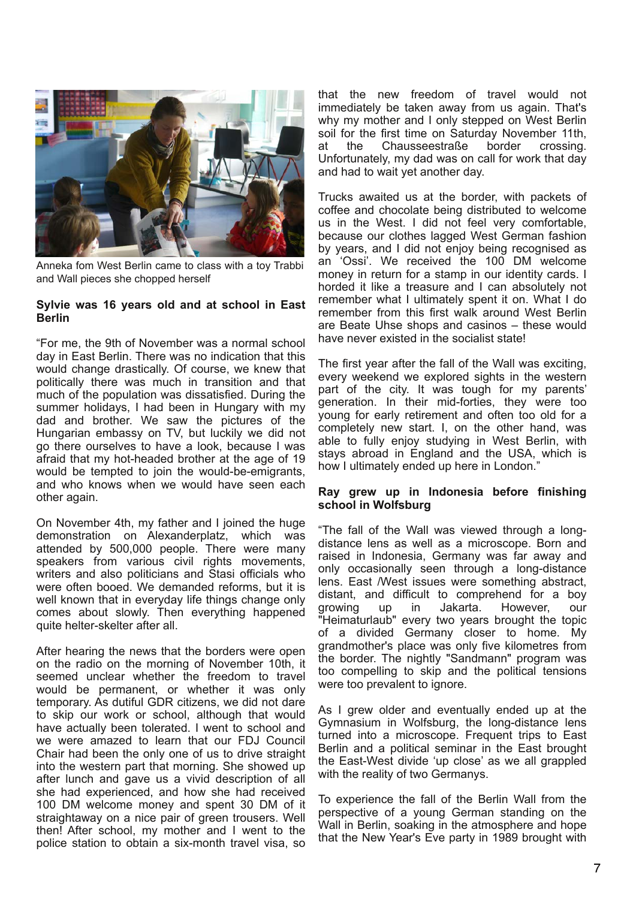

Anneka fom West Berlin came to class with a toy Trabbi and Wall pieces she chopped herself

### **Sylvie was 16 years old and at school in East Berlin**

"For me, the 9th of November was a normal school day in East Berlin. There was no indication that this would change drastically. Of course, we knew that politically there was much in transition and that much of the population was dissatisfied. During the summer holidays, I had been in Hungary with my dad and brother. We saw the pictures of the Hungarian embassy on TV, but luckily we did not go there ourselves to have a look, because I was afraid that my hot-headed brother at the age of 19 would be tempted to join the would-be-emigrants, and who knows when we would have seen each other again.

On November 4th, my father and I joined the huge demonstration on Alexanderplatz, which was attended by 500,000 people. There were many speakers from various civil rights movements. writers and also politicians and Stasi officials who were often booed. We demanded reforms, but it is well known that in everyday life things change only comes about slowly. Then everything happened quite helter-skelter after all.

After hearing the news that the borders were open on the radio on the morning of November 10th, it seemed unclear whether the freedom to travel would be permanent, or whether it was only temporary. As dutiful GDR citizens, we did not dare to skip our work or school, although that would have actually been tolerated. I went to school and we were amazed to learn that our FDJ Council Chair had been the only one of us to drive straight into the western part that morning. She showed up after lunch and gave us a vivid description of all she had experienced, and how she had received 100 DM welcome money and spent 30 DM of it straightaway on a nice pair of green trousers. Well then! After school, my mother and I went to the police station to obtain a six-month travel visa, so

that the new freedom of travel would not immediately be taken away from us again. That's why my mother and I only stepped on West Berlin soil for the first time on Saturday November 11th,<br>at the Chausseestraße border crossing. at the Chausseestraße border crossing. Unfortunately, my dad was on call for work that day and had to wait yet another day.

Trucks awaited us at the border, with packets of coffee and chocolate being distributed to welcome us in the West. I did not feel very comfortable, because our clothes lagged West German fashion by years, and I did not enjoy being recognised as an 'Ossi'. We received the 100 DM welcome money in return for a stamp in our identity cards. I horded it like a treasure and I can absolutely not remember what I ultimately spent it on. What I do remember from this first walk around West Berlin are Beate Uhse shops and casinos – these would have never existed in the socialist state!

The first year after the fall of the Wall was exciting, every weekend we explored sights in the western part of the city. It was tough for my parents' generation. In their mid-forties, they were too young for early retirement and often too old for a completely new start. I, on the other hand, was able to fully enjoy studying in West Berlin, with stays abroad in England and the USA, which is how I ultimately ended up here in London.

### **Ray grew up in Indonesia before finishing school in Wolfsburg**

"The fall of the Wall was viewed through a longdistance lens as well as a microscope. Born and raised in Indonesia, Germany was far away and only occasionally seen through a long-distance lens. East /West issues were something abstract, distant, and difficult to comprehend for a boy growing up in Jakarta. However, our "Heimaturlaub" every two years brought the topic of a divided Germany closer to home. My grandmother's place was only five kilometres from the border. The nightly "Sandmann" program was too compelling to skip and the political tensions were too prevalent to ignore.

As I grew older and eventually ended up at the Gymnasium in Wolfsburg, the long-distance lens turned into a microscope. Frequent trips to East Berlin and a political seminar in the East brought the East-West divide 'up close' as we all grappled with the reality of two Germanys.

To experience the fall of the Berlin Wall from the perspective of a young German standing on the Wall in Berlin, soaking in the atmosphere and hope that the New Year's Eve party in 1989 brought with